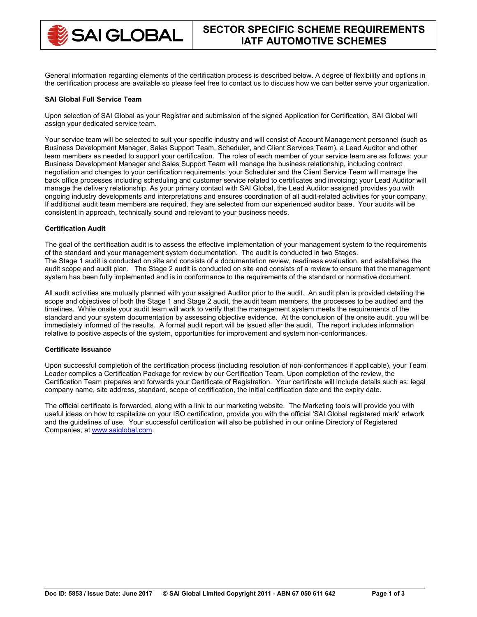

General information regarding elements of the certification process is described below. A degree of flexibility and options in the certification process are available so please feel free to contact us to discuss how we can better serve your organization.

## **SAI Global Full Service Team**

Upon selection of SAI Global as your Registrar and submission of the signed Application for Certification, SAI Global will assign your dedicated service team.

Your service team will be selected to suit your specific industry and will consist of Account Management personnel (such as Business Development Manager, Sales Support Team, Scheduler, and Client Services Team), a Lead Auditor and other team members as needed to support your certification. The roles of each member of your service team are as follows: your Business Development Manager and Sales Support Team will manage the business relationship, including contract negotiation and changes to your certification requirements; your Scheduler and the Client Service Team will manage the back office processes including scheduling and customer service related to certificates and invoicing; your Lead Auditor will manage the delivery relationship. As your primary contact with SAI Global, the Lead Auditor assigned provides you with ongoing industry developments and interpretations and ensures coordination of all audit-related activities for your company. If additional audit team members are required, they are selected from our experienced auditor base. Your audits will be consistent in approach, technically sound and relevant to your business needs.

## **Certification Audit**

The goal of the certification audit is to assess the effective implementation of your management system to the requirements of the standard and your management system documentation. The audit is conducted in two Stages. The Stage 1 audit is conducted on site and consists of a documentation review, readiness evaluation, and establishes the audit scope and audit plan. The Stage 2 audit is conducted on site and consists of a review to ensure that the management system has been fully implemented and is in conformance to the requirements of the standard or normative document.

All audit activities are mutually planned with your assigned Auditor prior to the audit. An audit plan is provided detailing the scope and objectives of both the Stage 1 and Stage 2 audit, the audit team members, the processes to be audited and the timelines. While onsite your audit team will work to verify that the management system meets the requirements of the standard and your system documentation by assessing objective evidence. At the conclusion of the onsite audit, you will be immediately informed of the results. A formal audit report will be issued after the audit. The report includes information relative to positive aspects of the system, opportunities for improvement and system non-conformances.

### **Certificate Issuance**

Upon successful completion of the certification process (including resolution of non-conformances if applicable), your Team Leader compiles a Certification Package for review by our Certification Team. Upon completion of the review, the Certification Team prepares and forwards your Certificate of Registration. Your certificate will include details such as: legal company name, site address, standard, scope of certification, the initial certification date and the expiry date.

The official certificate is forwarded, along with a link to our marketing website. The Marketing tools will provide you with useful ideas on how to capitalize on your ISO certification, provide you with the official 'SAI Global registered mark' artwork and the guidelines of use. Your successful certification will also be published in our online Directory of Registered Companies, at [www.saiglobal.com.](http://www.saiglobal.com/)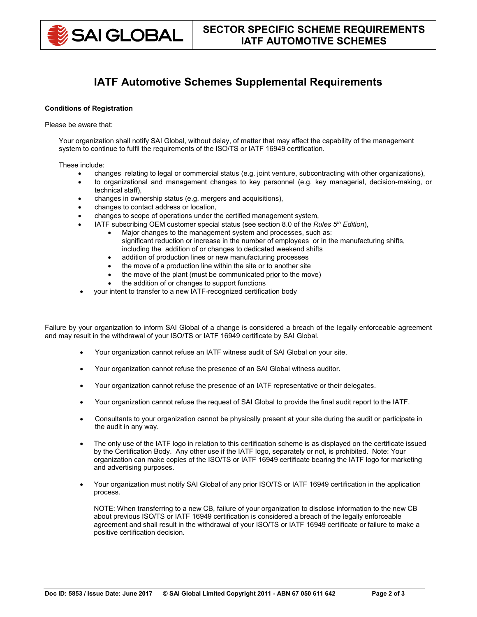

# **IATF Automotive Schemes Supplemental Requirements**

# **Conditions of Registration**

### Please be aware that:

Your organization shall notify SAI Global, without delay, of matter that may affect the capability of the management system to continue to fulfil the requirements of the ISO/TS or IATF 16949 certification.

These include:

- changes relating to legal or commercial status (e.g. joint venture, subcontracting with other organizations),
- to organizational and management changes to key personnel (e.g. key managerial, decision-making, or technical staff),
- changes in ownership status (e.g. mergers and acquisitions),
- changes to contact address or location,
- changes to scope of operations under the certified management system,
- IATF subscribing OEM customer special status (see section 8.0 of the *Rules 5th Edition*),
	- Major changes to the management system and processes, such as: significant reduction or increase in the number of employees or in the manufacturing shifts, including the addition of or changes to dedicated weekend shifts
	- addition of production lines or new manufacturing processes
	- the move of a production line within the site or to another site
	- the move of the plant (must be communicated prior to the move)
	- the addition of or changes to support functions
- your intent to transfer to a new IATF-recognized certification body

Failure by your organization to inform SAI Global of a change is considered a breach of the legally enforceable agreement and may result in the withdrawal of your ISO/TS or IATF 16949 certificate by SAI Global.

- Your organization cannot refuse an IATF witness audit of SAI Global on your site.
- Your organization cannot refuse the presence of an SAI Global witness auditor.
- Your organization cannot refuse the presence of an IATF representative or their delegates.
- Your organization cannot refuse the request of SAI Global to provide the final audit report to the IATF.
- Consultants to your organization cannot be physically present at your site during the audit or participate in the audit in any way.
- The only use of the IATF logo in relation to this certification scheme is as displayed on the certificate issued by the Certification Body. Any other use if the IATF logo, separately or not, is prohibited. Note: Your organization can make copies of the ISO/TS or IATF 16949 certificate bearing the IATF logo for marketing and advertising purposes.
- Your organization must notify SAI Global of any prior ISO/TS or IATF 16949 certification in the application process.

NOTE: When transferring to a new CB, failure of your organization to disclose information to the new CB about previous ISO/TS or IATF 16949 certification is considered a breach of the legally enforceable agreement and shall result in the withdrawal of your ISO/TS or IATF 16949 certificate or failure to make a positive certification decision.